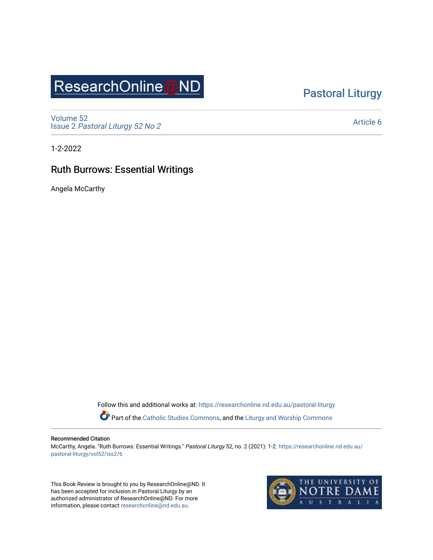## ResearchOnline@ND

## [Pastoral Liturgy](https://researchonline.nd.edu.au/pastoral-liturgy)

[Volume 52](https://researchonline.nd.edu.au/pastoral-liturgy/vol52) Issue 2 [Pastoral Liturgy 52 No 2](https://researchonline.nd.edu.au/pastoral-liturgy/vol52/iss2)

[Article 6](https://researchonline.nd.edu.au/pastoral-liturgy/vol52/iss2/6) 

1-2-2022

## Ruth Burrows: Essential Writings

Angela McCarthy

Follow this and additional works at: [https://researchonline.nd.edu.au/pastoral-liturgy](https://researchonline.nd.edu.au/pastoral-liturgy?utm_source=researchonline.nd.edu.au%2Fpastoral-liturgy%2Fvol52%2Fiss2%2F6&utm_medium=PDF&utm_campaign=PDFCoverPages)

Part of the [Catholic Studies Commons,](http://network.bepress.com/hgg/discipline/1294?utm_source=researchonline.nd.edu.au%2Fpastoral-liturgy%2Fvol52%2Fiss2%2F6&utm_medium=PDF&utm_campaign=PDFCoverPages) and the [Liturgy and Worship Commons](http://network.bepress.com/hgg/discipline/1188?utm_source=researchonline.nd.edu.au%2Fpastoral-liturgy%2Fvol52%2Fiss2%2F6&utm_medium=PDF&utm_campaign=PDFCoverPages) 

## Recommended Citation

McCarthy, Angela. "Ruth Burrows: Essential Writings." Pastoral Liturgy 52, no. 2 (2021): 1-2. [https://researchonline.nd.edu.au/](https://researchonline.nd.edu.au/pastoral-liturgy/vol52/iss2/6?utm_source=researchonline.nd.edu.au%2Fpastoral-liturgy%2Fvol52%2Fiss2%2F6&utm_medium=PDF&utm_campaign=PDFCoverPages) [pastoral-liturgy/vol52/iss2/6](https://researchonline.nd.edu.au/pastoral-liturgy/vol52/iss2/6?utm_source=researchonline.nd.edu.au%2Fpastoral-liturgy%2Fvol52%2Fiss2%2F6&utm_medium=PDF&utm_campaign=PDFCoverPages)

This Book Review is brought to you by ResearchOnline@ND. It has been accepted for inclusion in Pastoral Liturgy by an authorized administrator of ResearchOnline@ND. For more information, please contact [researchonline@nd.edu.au.](mailto:researchonline@nd.edu.au)

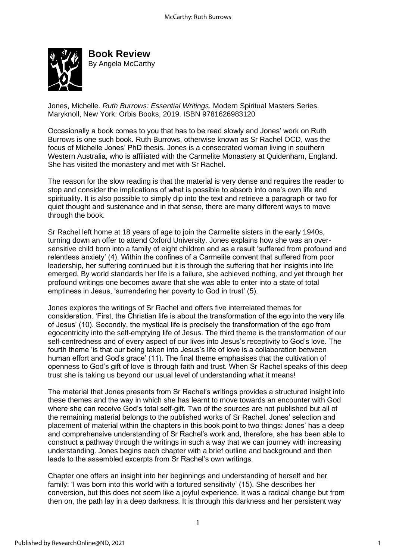

**Book Review**  By Angela McCarthy

Jones, Michelle. *Ruth Burrows: Essential Writings.* Modern Spiritual Masters Series. Maryknoll, New York: Orbis Books, 2019. ISBN 9781626983120

Occasionally a book comes to you that has to be read slowly and Jones' work on Ruth Burrows is one such book. Ruth Burrows, otherwise known as Sr Rachel OCD, was the focus of Michelle Jones' PhD thesis. Jones is a consecrated woman living in southern Western Australia, who is affiliated with the Carmelite Monastery at Quidenham, England. She has visited the monastery and met with Sr Rachel.

The reason for the slow reading is that the material is very dense and requires the reader to stop and consider the implications of what is possible to absorb into one's own life and spirituality. It is also possible to simply dip into the text and retrieve a paragraph or two for quiet thought and sustenance and in that sense, there are many different ways to move through the book.

Sr Rachel left home at 18 years of age to join the Carmelite sisters in the early 1940s, turning down an offer to attend Oxford University. Jones explains how she was an oversensitive child born into a family of eight children and as a result 'suffered from profound and relentless anxiety' (4). Within the confines of a Carmelite convent that suffered from poor leadership, her suffering continued but it is through the suffering that her insights into life emerged. By world standards her life is a failure, she achieved nothing, and yet through her profound writings one becomes aware that she was able to enter into a state of total emptiness in Jesus, 'surrendering her poverty to God in trust' (5).

Jones explores the writings of Sr Rachel and offers five interrelated themes for consideration. 'First, the Christian life is about the transformation of the ego into the very life of Jesus' (10). Secondly, the mystical life is precisely the transformation of the ego from egocentricity into the self-emptying life of Jesus. The third theme is the transformation of our self-centredness and of every aspect of our lives into Jesus's receptivity to God's love. The fourth theme 'is that our being taken into Jesus's life of love is a collaboration between human effort and God's grace' (11). The final theme emphasises that the cultivation of openness to God's gift of love is through faith and trust. When Sr Rachel speaks of this deep trust she is taking us beyond our usual level of understanding what it means!

The material that Jones presents from Sr Rachel's writings provides a structured insight into these themes and the way in which she has learnt to move towards an encounter with God where she can receive God's total self-gift. Two of the sources are not published but all of the remaining material belongs to the published works of Sr Rachel. Jones' selection and placement of material within the chapters in this book point to two things: Jones' has a deep and comprehensive understanding of Sr Rachel's work and, therefore, she has been able to construct a pathway through the writings in such a way that we can journey with increasing understanding. Jones begins each chapter with a brief outline and background and then leads to the assembled excerpts from Sr Rachel's own writings.

Chapter one offers an insight into her beginnings and understanding of herself and her family: 'I was born into this world with a tortured sensitivity' (15). She describes her conversion, but this does not seem like a joyful experience. It was a radical change but from then on, the path lay in a deep darkness. It is through this darkness and her persistent way